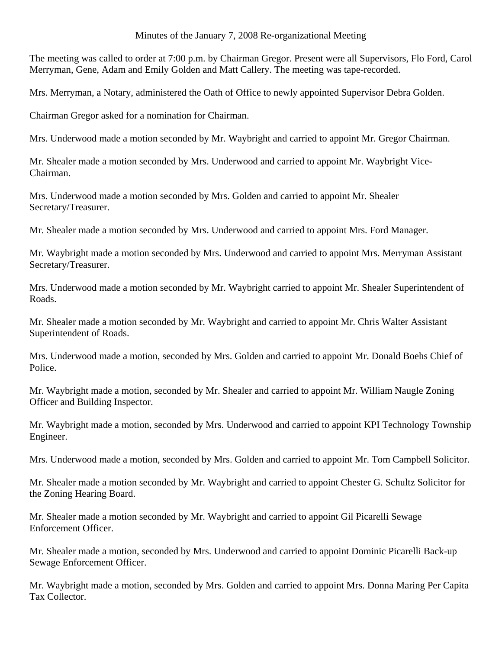## Minutes of the January 7, 2008 Re-organizational Meeting

The meeting was called to order at 7:00 p.m. by Chairman Gregor. Present were all Supervisors, Flo Ford, Carol Merryman, Gene, Adam and Emily Golden and Matt Callery. The meeting was tape-recorded.

Mrs. Merryman, a Notary, administered the Oath of Office to newly appointed Supervisor Debra Golden.

Chairman Gregor asked for a nomination for Chairman.

Mrs. Underwood made a motion seconded by Mr. Waybright and carried to appoint Mr. Gregor Chairman.

Mr. Shealer made a motion seconded by Mrs. Underwood and carried to appoint Mr. Waybright Vice-Chairman.

Mrs. Underwood made a motion seconded by Mrs. Golden and carried to appoint Mr. Shealer Secretary/Treasurer.

Mr. Shealer made a motion seconded by Mrs. Underwood and carried to appoint Mrs. Ford Manager.

Mr. Waybright made a motion seconded by Mrs. Underwood and carried to appoint Mrs. Merryman Assistant Secretary/Treasurer.

Mrs. Underwood made a motion seconded by Mr. Waybright carried to appoint Mr. Shealer Superintendent of Roads.

Mr. Shealer made a motion seconded by Mr. Waybright and carried to appoint Mr. Chris Walter Assistant Superintendent of Roads.

Mrs. Underwood made a motion, seconded by Mrs. Golden and carried to appoint Mr. Donald Boehs Chief of Police.

Mr. Waybright made a motion, seconded by Mr. Shealer and carried to appoint Mr. William Naugle Zoning Officer and Building Inspector.

Mr. Waybright made a motion, seconded by Mrs. Underwood and carried to appoint KPI Technology Township Engineer.

Mrs. Underwood made a motion, seconded by Mrs. Golden and carried to appoint Mr. Tom Campbell Solicitor.

Mr. Shealer made a motion seconded by Mr. Waybright and carried to appoint Chester G. Schultz Solicitor for the Zoning Hearing Board.

Mr. Shealer made a motion seconded by Mr. Waybright and carried to appoint Gil Picarelli Sewage Enforcement Officer.

Mr. Shealer made a motion, seconded by Mrs. Underwood and carried to appoint Dominic Picarelli Back-up Sewage Enforcement Officer.

Mr. Waybright made a motion, seconded by Mrs. Golden and carried to appoint Mrs. Donna Maring Per Capita Tax Collector.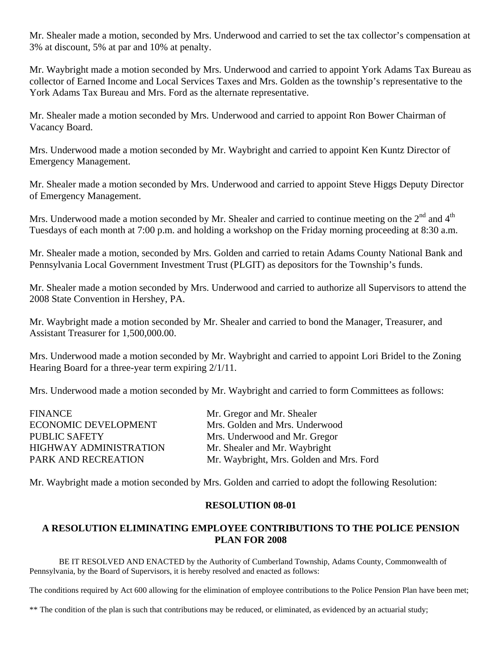Mr. Shealer made a motion, seconded by Mrs. Underwood and carried to set the tax collector's compensation at 3% at discount, 5% at par and 10% at penalty.

Mr. Waybright made a motion seconded by Mrs. Underwood and carried to appoint York Adams Tax Bureau as collector of Earned Income and Local Services Taxes and Mrs. Golden as the township's representative to the York Adams Tax Bureau and Mrs. Ford as the alternate representative.

Mr. Shealer made a motion seconded by Mrs. Underwood and carried to appoint Ron Bower Chairman of Vacancy Board.

Mrs. Underwood made a motion seconded by Mr. Waybright and carried to appoint Ken Kuntz Director of Emergency Management.

Mr. Shealer made a motion seconded by Mrs. Underwood and carried to appoint Steve Higgs Deputy Director of Emergency Management.

Mrs. Underwood made a motion seconded by Mr. Shealer and carried to continue meeting on the  $2<sup>nd</sup>$  and  $4<sup>th</sup>$ Tuesdays of each month at 7:00 p.m. and holding a workshop on the Friday morning proceeding at 8:30 a.m.

Mr. Shealer made a motion, seconded by Mrs. Golden and carried to retain Adams County National Bank and Pennsylvania Local Government Investment Trust (PLGIT) as depositors for the Township's funds.

Mr. Shealer made a motion seconded by Mrs. Underwood and carried to authorize all Supervisors to attend the 2008 State Convention in Hershey, PA.

Mr. Waybright made a motion seconded by Mr. Shealer and carried to bond the Manager, Treasurer, and Assistant Treasurer for 1,500,000.00.

Mrs. Underwood made a motion seconded by Mr. Waybright and carried to appoint Lori Bridel to the Zoning Hearing Board for a three-year term expiring 2/1/11.

Mrs. Underwood made a motion seconded by Mr. Waybright and carried to form Committees as follows:

| <b>FINANCE</b>                | Mr. Gregor and Mr. Shealer               |
|-------------------------------|------------------------------------------|
| <b>ECONOMIC DEVELOPMENT</b>   | Mrs. Golden and Mrs. Underwood           |
| <b>PUBLIC SAFETY</b>          | Mrs. Underwood and Mr. Gregor            |
| <b>HIGHWAY ADMINISTRATION</b> | Mr. Shealer and Mr. Waybright            |
| PARK AND RECREATION           | Mr. Waybright, Mrs. Golden and Mrs. Ford |
|                               |                                          |

Mr. Waybright made a motion seconded by Mrs. Golden and carried to adopt the following Resolution:

## **RESOLUTION 08-01**

# **A RESOLUTION ELIMINATING EMPLOYEE CONTRIBUTIONS TO THE POLICE PENSION PLAN FOR 2008**

 BE IT RESOLVED AND ENACTED by the Authority of Cumberland Township, Adams County, Commonwealth of Pennsylvania, by the Board of Supervisors, it is hereby resolved and enacted as follows:

The conditions required by Act 600 allowing for the elimination of employee contributions to the Police Pension Plan have been met;

\*\* The condition of the plan is such that contributions may be reduced, or eliminated, as evidenced by an actuarial study;